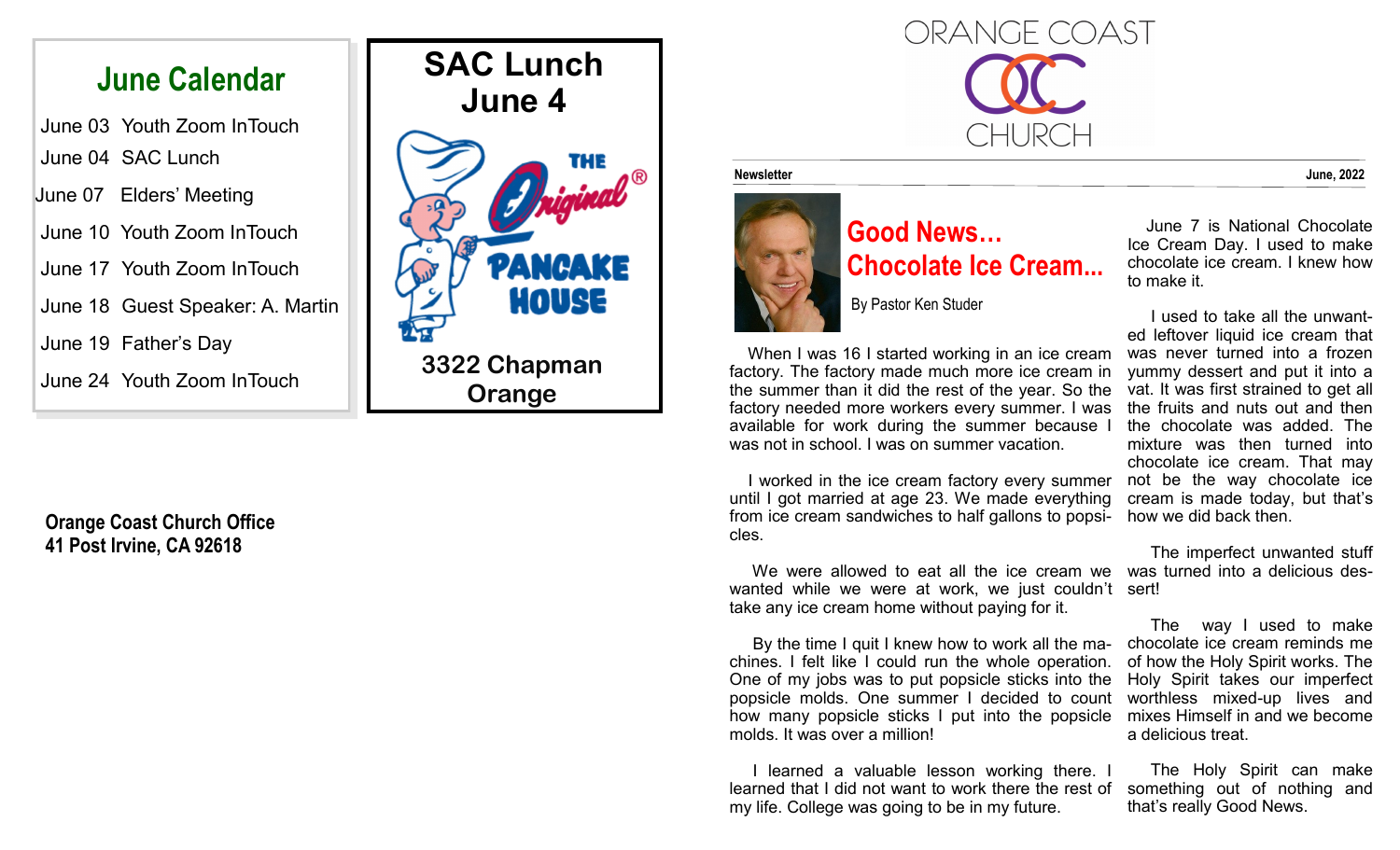## **June Calendar**

June 03 Youth Zoom InTouch June 04 SAC Lunch

June 07 Elders' Meeting

June 10 Youth Zoom InTouch

June 17 Youth Zoom InTouch

June 18 Guest Speaker: A. Martin

June 19 Father's Day

June 24 Youth Zoom InTouch

**Orange Coast Church Office 41 Post Irvine, CA 92618** 



# ORANGE COAST THI IRCE

#### **Newsletter June, 2022**



### **Good News… Chocolate Ice Cream...**

By Pastor Ken Studer

 When I was 16 I started working in an ice cream factory. The factory made much more ice cream in the summer than it did the rest of the year. So the factory needed more workers every summer. I was available for work during the summer because I was not in school. I was on summer vacation.

 I worked in the ice cream factory every summer until I got married at age 23. We made everything from ice cream sandwiches to half gallons to popsi-how we did back then. cles.

 We were allowed to eat all the ice cream we was turned into a delicious deswanted while we were at work, we just couldn't sert! take any ice cream home without paying for it.

 By the time I quit I knew how to work all the machines. I felt like I could run the whole operation. One of my jobs was to put popsicle sticks into the Holy Spirit takes our imperfect popsicle molds. One summer I decided to count how many popsicle sticks I put into the popsicle mixes Himself in and we become molds. It was over a million!

 I learned a valuable lesson working there. I learned that I did not want to work there the rest of my life. College was going to be in my future.

 June 7 is National Chocolate Ice Cream Day. I used to make chocolate ice cream. I knew how to make it.

 I used to take all the unwanted leftover liquid ice cream that was never turned into a frozen yummy dessert and put it into a vat. It was first strained to get all the fruits and nuts out and then the chocolate was added. The mixture was then turned into chocolate ice cream. That may not be the way chocolate ice cream is made today, but that's

The imperfect unwanted stuff

 The way I used to make chocolate ice cream reminds me of how the Holy Spirit works. The worthless mixed-up lives and a delicious treat.

 The Holy Spirit can make something out of nothing and that's really Good News.